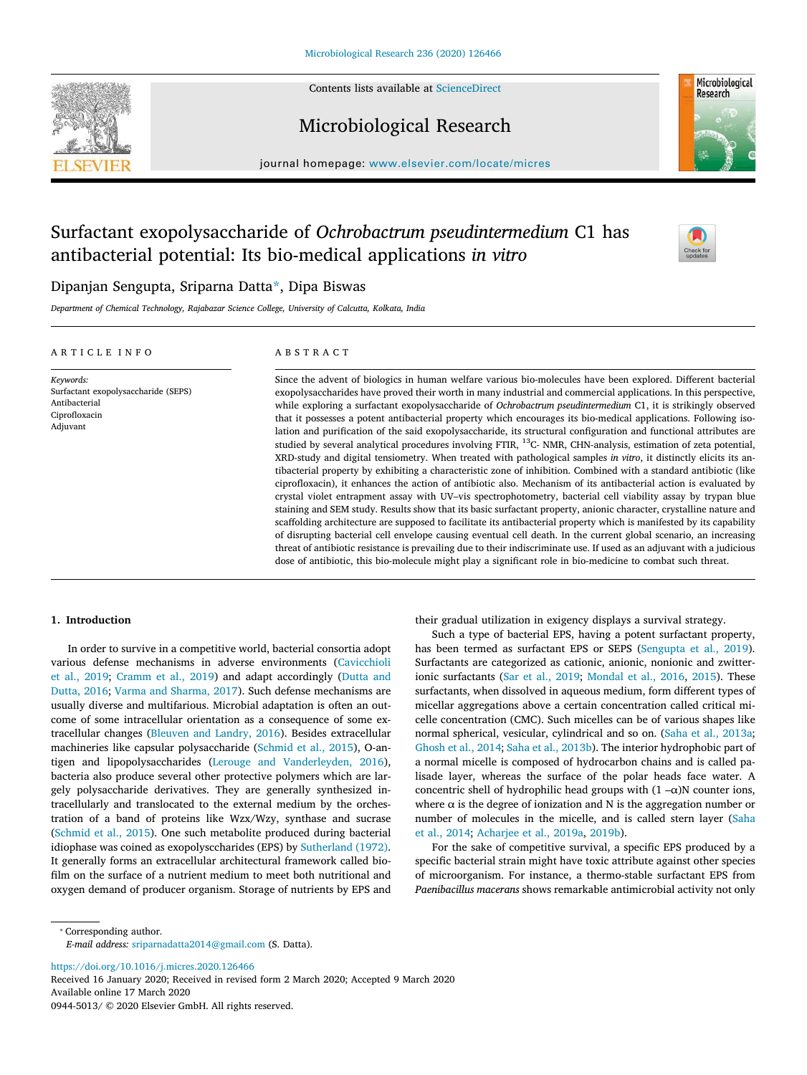Contents lists available at [ScienceDirect](http://www.sciencedirect.com/science/journal/09445013)





Microbiological Research

journal homepage: [www.elsevier.com/locate/micres](https://www.elsevier.com/locate/micres)

# Surfactant exopolysaccharide of *Ochrobactrum pseudintermedium* C1 has antibacterial potential: Its bio-medical applications *in vitro*



# Dipanjan Sengupta, Sriparna Datt[a\\*,](#page-0-0) Dipa Biswas

*Department of Chemical Technology, Rajabazar Science College, University of Calcutta, Kolkata, India*

# ARTICLE INFO

ABSTRACT

*Keywords:* Surfactant exopolysaccharide (SEPS) Antibacterial Ciprofloxacin Adjuvant

Since the advent of biologics in human welfare various bio-molecules have been explored. Different bacterial exopolysaccharides have proved their worth in many industrial and commercial applications. In this perspective, while exploring a surfactant exopolysaccharide of *Ochrobactrum pseudintermedium* C1, it is strikingly observed that it possesses a potent antibacterial property which encourages its bio-medical applications. Following isolation and purification of the said exopolysaccharide, its structural configuration and functional attributes are studied by several analytical procedures involving FTIR, <sup>13</sup>C- NMR, CHN-analysis, estimation of zeta potential, XRD-study and digital tensiometry. When treated with pathological samples *in vitro*, it distinctly elicits its antibacterial property by exhibiting a characteristic zone of inhibition. Combined with a standard antibiotic (like ciprofloxacin), it enhances the action of antibiotic also. Mechanism of its antibacterial action is evaluated by crystal violet entrapment assay with UV–vis spectrophotometry, bacterial cell viability assay by trypan blue staining and SEM study. Results show that its basic surfactant property, anionic character, crystalline nature and scaffolding architecture are supposed to facilitate its antibacterial property which is manifested by its capability of disrupting bacterial cell envelope causing eventual cell death. In the current global scenario, an increasing threat of antibiotic resistance is prevailing due to their indiscriminate use. If used as an adjuvant with a judicious dose of antibiotic, this bio-molecule might play a significant role in bio-medicine to combat such threat.

# **1. Introduction**

In order to survive in a competitive world, bacterial consortia adopt various defense mechanisms in adverse environments [\(Cavicchioli](#page-7-0) [et al., 2019](#page-7-0); [Cramm et al., 2019](#page-7-1)) and adapt accordingly [\(Dutta and](#page-7-2) [Dutta, 2016;](#page-7-2) [Varma and Sharma, 2017\)](#page-8-0). Such defense mechanisms are usually diverse and multifarious. Microbial adaptation is often an outcome of some intracellular orientation as a consequence of some extracellular changes [\(Bleuven and Landry, 2016\)](#page-7-3). Besides extracellular machineries like capsular polysaccharide [\(Schmid et al., 2015\)](#page-8-1), O-antigen and lipopolysaccharides([Lerouge and Vanderleyden, 2016](#page-7-4)), bacteria also produce several other protective polymers which are largely polysaccharide derivatives. They are generally synthesized intracellularly and translocated to the external medium by the orchestration of a band of proteins like Wzx/Wzy, synthase and sucrase ([Schmid et al., 2015\)](#page-8-1). One such metabolite produced during bacterial idiophase was coined as exopolysccharides (EPS) by [Sutherland \(1972\)](#page-8-2). It generally forms an extracellular architectural framework called biofilm on the surface of a nutrient medium to meet both nutritional and oxygen demand of producer organism. Storage of nutrients by EPS and their gradual utilization in exigency displays a survival strategy.

Such a type of bacterial EPS, having a potent surfactant property, has been termed as surfactant EPS or SEPS [\(Sengupta et al., 2019](#page-8-3)). Surfactants are categorized as cationic, anionic, nonionic and zwitterionic surfactants([Sar et al., 2019](#page-8-4); [Mondal et al., 2016](#page-8-5), [2015\)](#page-8-6). These surfactants, when dissolved in aqueous medium, form different types of micellar aggregations above a certain concentration called critical micelle concentration (CMC). Such micelles can be of various shapes like normal spherical, vesicular, cylindrical and so on.([Saha et al., 2013a](#page-8-7); [Ghosh et al., 2014](#page-7-5); [Saha et al., 2013b\)](#page-8-8). The interior hydrophobic part of a normal micelle is composed of hydrocarbon chains and is called palisade layer, whereas the surface of the polar heads face water. A concentric shell of hydrophilic head groups with  $(1 - \alpha)N$  counter ions, where  $\alpha$  is the degree of ionization and N is the aggregation number or number of molecules in the micelle, and is called stern layer([Saha](#page-8-9) [et al., 2014](#page-8-9); [Acharjee et al., 2019a,](#page-7-6) [2019b\)](#page-7-7).

For the sake of competitive survival, a specific EPS produced by a specific bacterial strain might have toxic attribute against other species of microorganism. For instance, a thermo-stable surfactant EPS from *Paenibacillus macerans* shows remarkable antimicrobial activity not only

<span id="page-0-0"></span>⁎ Corresponding author.

*E-mail address:* [sriparnadatta2014@gmail.com](mailto:sriparnadatta2014@gmail.com) (S. Datta).

<https://doi.org/10.1016/j.micres.2020.126466>

Received 16 January 2020; Received in revised form 2 March 2020; Accepted 9 March 2020 Available online 17 March 2020

0944-5013/ © 2020 Elsevier GmbH. All rights reserved.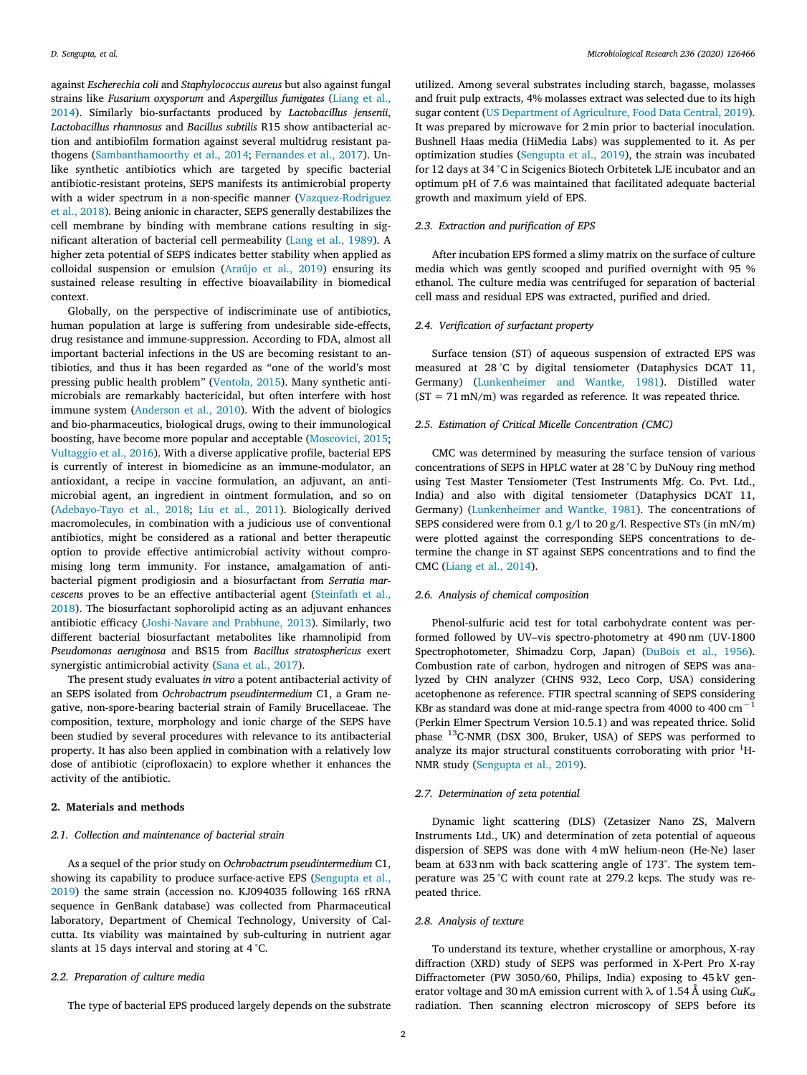against *Escherechia coli* and *Staphylococcus aureus* but also against fungal strains like *Fusarium oxysporum* and *Aspergillus fumigates* ([Liang et al.,](#page-7-8) [2014\)](#page-7-8). Similarly bio-surfactants produced by *Lactobacillus jensenii*, *Lactobacillus rhamnosus* and *Bacillus subtilis* R15 show antibacterial action and antibiofilm formation against several multidrug resistant pathogens([Sambanthamoorthy et al., 2014;](#page-8-10) [Fernandes et al., 2017](#page-7-9)). Unlike synthetic antibiotics which are targeted by specific bacterial antibiotic-resistant proteins, SEPS manifests its antimicrobial property with a wider spectrum in a non-specific manner([Vazquez-Rodriguez](#page-8-11) [et al., 2018](#page-8-11)). Being anionic in character, SEPS generally destabilizes the cell membrane by binding with membrane cations resulting in significant alteration of bacterial cell permeability [\(Lang et al., 1989](#page-7-10)). A higher zeta potential of SEPS indicates better stability when applied as colloidal suspension or emulsion [\(Araújo et al., 2019](#page-7-11)) ensuring its sustained release resulting in effective bioavailability in biomedical context.

Globally, on the perspective of indiscriminate use of antibiotics, human population at large is suffering from undesirable side-effects, drug resistance and immune-suppression. According to FDA, almost all important bacterial infections in the US are becoming resistant to antibiotics, and thus it has been regarded as "one of the world's most pressing public health problem" [\(Ventola, 2015](#page-8-12)). Many synthetic antimicrobials are remarkably bactericidal, but often interfere with host immune system([Anderson et al., 2010\)](#page-7-12). With the advent of biologics and bio-pharmaceutics, biological drugs, owing to their immunological boosting, have become more popular and acceptable([Moscovici, 2015](#page-8-13); [Vultaggio et al., 2016\)](#page-8-14). With a diverse applicative profile, bacterial EPS is currently of interest in biomedicine as an immune-modulator, an antioxidant, a recipe in vaccine formulation, an adjuvant, an antimicrobial agent, an ingredient in ointment formulation, and so on ([Adebayo-Tayo et al., 2018](#page-7-13); [Liu et al., 2011](#page-8-15)). Biologically derived macromolecules, in combination with a judicious use of conventional antibiotics, might be considered as a rational and better therapeutic option to provide effective antimicrobial activity without compromising long term immunity. For instance, amalgamation of antibacterial pigment prodigiosin and a biosurfactant from *Serratia marcescens* proves to be an effective antibacterial agent([Steinfath et al.,](#page-8-16) [2018\)](#page-8-16). The biosurfactant sophorolipid acting as an adjuvant enhances antibiotic efficacy([Joshi-Navare and Prabhune, 2013\)](#page-7-14). Similarly, two different bacterial biosurfactant metabolites like rhamnolipid from *Pseudomonas aeruginosa* and BS15 from *Bacillus stratosphericus* exert synergistic antimicrobial activity([Sana et al., 2017](#page-8-17)).

The present study evaluates *in vitro* a potent antibacterial activity of an SEPS isolated from *Ochrobactrum pseudintermedium* C1, a Gram negative, non-spore-bearing bacterial strain of Family Brucellaceae. The composition, texture, morphology and ionic charge of the SEPS have been studied by several procedures with relevance to its antibacterial property. It has also been applied in combination with a relatively low dose of antibiotic (ciprofloxacin) to explore whether it enhances the activity of the antibiotic.

# **2. Materials and methods**

# *2.1. Collection and maintenance of bacterial strain*

As a sequel of the prior study on *Ochrobactrum pseudintermedium* C1, showing its capability to produce surface-active EPS [\(Sengupta et al.,](#page-8-3) [2019\)](#page-8-3) the same strain (accession no. KJ094035 following 16S rRNA sequence in GenBank database) was collected from Pharmaceutical laboratory, Department of Chemical Technology, University of Calcutta. Its viability was maintained by sub-culturing in nutrient agar slants at 15 days interval and storing at 4 °C.

#### *2.2. Preparation of culture media*

The type of bacterial EPS produced largely depends on the substrate

utilized. Among several substrates including starch, bagasse, molasses and fruit pulp extracts, 4% molasses extract was selected due to its high sugar content([US Department of Agriculture, Food Data Central, 2019](#page-8-18)). It was prepared by microwave for 2 min prior to bacterial inoculation. Bushnell Haas media (HiMedia Labs) was supplemented to it. As per optimization studies([Sengupta et al., 2019](#page-8-3)), the strain was incubated for 12 days at 34 °C in Scigenics Biotech Orbitetek LJE incubator and an optimum pH of 7.6 was maintained that facilitated adequate bacterial growth and maximum yield of EPS.

# *2.3. Extraction and purification of EPS*

After incubation EPS formed a slimy matrix on the surface of culture media which was gently scooped and purified overnight with 95 % ethanol. The culture media was centrifuged for separation of bacterial cell mass and residual EPS was extracted, purified and dried.

# *2.4. Verification of surfactant property*

Surface tension (ST) of aqueous suspension of extracted EPS was measured at 28 °C by digital tensiometer (Dataphysics DCAT 11, Germany)([Lunkenheimer and Wantke, 1981](#page-8-19)). Distilled water  $(ST = 71$  mN/m) was regarded as reference. It was repeated thrice.

# *2.5. Estimation of Critical Micelle Concentration (CMC)*

CMC was determined by measuring the surface tension of various concentrations of SEPS in HPLC water at 28 °C by DuNouy ring method using Test Master Tensiometer (Test Instruments Mfg. Co. Pvt. Ltd., India) and also with digital tensiometer (Dataphysics DCAT 11, Germany) [\(Lunkenheimer and Wantke, 1981\)](#page-8-19). The concentrations of SEPS considered were from 0.1 g/l to 20 g/l. Respective STs (in mN/m) were plotted against the corresponding SEPS concentrations to determine the change in ST against SEPS concentrations and to find the CMC [\(Liang et al., 2014](#page-7-8)).

# *2.6. Analysis of chemical composition*

Phenol-sulfuric acid test for total carbohydrate content was performed followed by UV–vis spectro-photometry at 490 nm (UV-1800 Spectrophotometer, Shimadzu Corp, Japan) [\(DuBois et al., 1956](#page-7-15)). Combustion rate of carbon, hydrogen and nitrogen of SEPS was analyzed by CHN analyzer (CHNS 932, Leco Corp, USA) considering acetophenone as reference. FTIR spectral scanning of SEPS considering KBr as standard was done at mid-range spectra from 4000 to 400  $\rm cm^{-1}$ (Perkin Elmer Spectrum Version 10.5.1) and was repeated thrice. Solid phase <sup>13</sup>C-NMR (DSX 300, Bruker, USA) of SEPS was performed to analyze its major structural constituents corroborating with prior  ${}^{1}$ H-NMR study([Sengupta et al., 2019\)](#page-8-3).

# *2.7. Determination of zeta potential*

Dynamic light scattering (DLS) (Zetasizer Nano ZS, Malvern Instruments Ltd., UK) and determination of zeta potential of aqueous dispersion of SEPS was done with 4 mW helium-neon (He-Ne) laser beam at 633 nm with back scattering angle of 173°. The system temperature was 25 °C with count rate at 279.2 kcps. The study was repeated thrice.

# *2.8. Analysis of texture*

To understand its texture, whether crystalline or amorphous, X-ray diffraction (XRD) study of SEPS was performed in X-Pert Pro X-ray Diffractometer (PW 3050/60, Philips, India) exposing to 45 kV generator voltage and 30 mA emission current with  $\lambda$  of 1.54 Å using *CuK*<sub>α</sub> radiation. Then scanning electron microscopy of SEPS before its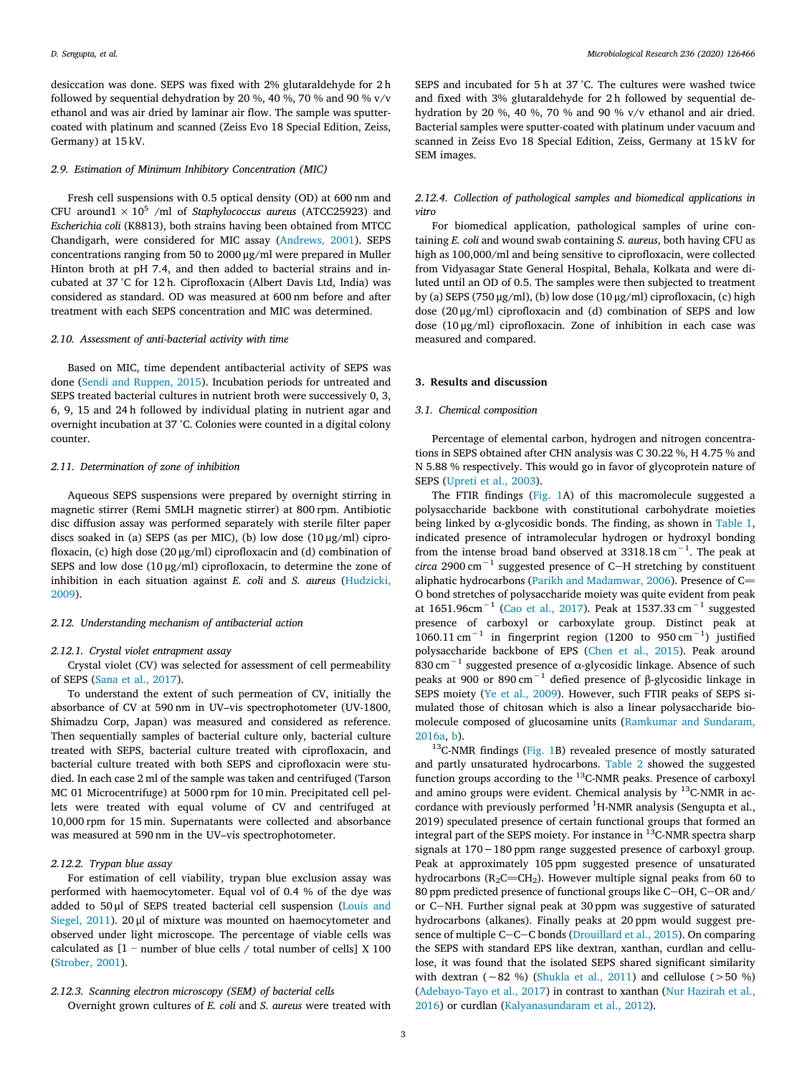desiccation was done. SEPS was fixed with 2% glutaraldehyde for 2 h followed by sequential dehydration by 20 %, 40 %, 70 % and 90 % v/v ethanol and was air dried by laminar air flow. The sample was sputtercoated with platinum and scanned (Zeiss Evo 18 Special Edition, Zeiss, Germany) at 15 kV.

#### *2.9. Estimation of Minimum Inhibitory Concentration (MIC)*

Fresh cell suspensions with 0.5 optical density (OD) at 600 nm and CFU around $1 \times 10^5$  /ml of *Staphylococcus aureus* (ATCC25923) and *Escherichia coli* (K8813), both strains having been obtained from MTCC Chandigarh, were considered for MIC assay([Andrews, 2001\)](#page-7-16). SEPS concentrations ranging from 50 to 2000 μg/ml were prepared in Muller Hinton broth at pH 7.4, and then added to bacterial strains and incubated at 37 °C for 12 h. Ciprofloxacin (Albert Davis Ltd, India) was considered as standard. OD was measured at 600 nm before and after treatment with each SEPS concentration and MIC was determined.

#### *2.10. Assessment of anti-bacterial activity with time*

Based on MIC, time dependent antibacterial activity of SEPS was done([Sendi and Ruppen, 2015\)](#page-8-20). Incubation periods for untreated and SEPS treated bacterial cultures in nutrient broth were successively 0, 3, 6, 9, 15 and 24 h followed by individual plating in nutrient agar and overnight incubation at 37 °C. Colonies were counted in a digital colony counter.

#### *2.11. Determination of zone of inhibition*

Aqueous SEPS suspensions were prepared by overnight stirring in magnetic stirrer (Remi 5MLH magnetic stirrer) at 800 rpm. Antibiotic disc diffusion assay was performed separately with sterile filter paper discs soaked in (a) SEPS (as per MIC), (b) low dose  $(10 \mu g/ml)$  ciprofloxacin, (c) high dose (20 μg/ml) ciprofloxacin and (d) combination of SEPS and low dose (10 μg/ml) ciprofloxacin, to determine the zone of inhibition in each situation against *E. coli* and *S. aureus* ([Hudzicki,](#page-7-17) [2009\)](#page-7-17).

# *2.12. Understanding mechanism of antibacterial action*

#### *2.12.1. Crystal violet entrapment assay*

Crystal violet (CV) was selected for assessment of cell permeability of SEPS [\(Sana et al., 2017\)](#page-8-17).

To understand the extent of such permeation of CV, initially the absorbance of CV at 590 nm in UV–vis spectrophotometer (UV-1800, Shimadzu Corp, Japan) was measured and considered as reference. Then sequentially samples of bacterial culture only, bacterial culture treated with SEPS, bacterial culture treated with ciprofloxacin, and bacterial culture treated with both SEPS and ciprofloxacin were studied. In each case 2 ml of the sample was taken and centrifuged (Tarson MC 01 Microcentrifuge) at 5000 rpm for 10 min. Precipitated cell pellets were treated with equal volume of CV and centrifuged at 10,000 rpm for 15 min. Supernatants were collected and absorbance was measured at 590 nm in the UV–vis spectrophotometer.

### *2.12.2. Trypan blue assay*

For estimation of cell viability, trypan blue exclusion assay was performed with haemocytometer. Equal vol of 0.4 % of the dye was added to 50 μl of SEPS treated bacterial cell suspension([Louis and](#page-8-21) [Siegel, 2011\)](#page-8-21). 20 μl of mixture was mounted on haemocytometer and observed under light microscope. The percentage of viable cells was calculated as  $[1 -$  number of blue cells / total number of cells  $[2]$  X 100 ([Strober, 2001](#page-8-22)).

# *2.12.3. Scanning electron microscopy (SEM) of bacterial cells*

Overnight grown cultures of *E. coli* and *S. aureus* were treated with

SEPS and incubated for 5 h at 37 °C. The cultures were washed twice and fixed with 3% glutaraldehyde for 2 h followed by sequential dehydration by 20 %, 40 %, 70 % and 90 % v/v ethanol and air dried. Bacterial samples were sputter-coated with platinum under vacuum and scanned in Zeiss Evo 18 Special Edition, Zeiss, Germany at 15 kV for SEM images.

# *2.12.4. Collection of pathological samples and biomedical applications in vitro*

For biomedical application, pathological samples of urine containing *E. coli* and wound swab containing *S. aureus*, both having CFU as high as 100,000/ml and being sensitive to ciprofloxacin, were collected from Vidyasagar State General Hospital, Behala, Kolkata and were diluted until an OD of 0.5. The samples were then subjected to treatment by (a) SEPS (750 μg/ml), (b) low dose (10 μg/ml) ciprofloxacin, (c) high dose (20 μg/ml) ciprofloxacin and (d) combination of SEPS and low dose (10 μg/ml) ciprofloxacin. Zone of inhibition in each case was measured and compared.

#### **3. Results and discussion**

#### *3.1. Chemical composition*

Percentage of elemental carbon, hydrogen and nitrogen concentrations in SEPS obtained after CHN analysis was C 30.22 %, H 4.75 % and N 5.88 % respectively. This would go in favor of glycoprotein nature of SEPS([Upreti et al., 2003](#page-8-23)).

The FTIR findings([Fig. 1A](#page-3-0)) of this macromolecule suggested a polysaccharide backbone with constitutional carbohydrate moieties being linked by  $\alpha$ -glycosidic bonds. The finding, as shown in [Table 1](#page-3-1), indicated presence of intramolecular hydrogen or hydroxyl bonding from the intense broad band observed at  $3318.18 \text{ cm}^{-1}$ . The peak at *circa* 2900 cm<sup>-1</sup> suggested presence of C-H stretching by constituent aliphatichydrocarbons ([Parikh and Madamwar, 2006](#page-8-24)). Presence of  $C=$ O bond stretches of polysaccharide moiety was quite evident from peak at 1651.96cm−1 ([Cao et al., 2017\)](#page-7-18). Peak at 1537.33 cm−1 suggested presence of carboxyl or carboxylate group. Distinct peak at  $1060.11 \text{ cm}^{-1}$  in fingerprint region (1200 to 950 cm<sup>-1</sup>) justified polysaccharide backbone of EPS [\(Chen et al., 2015](#page-7-19)). Peak around 830 cm<sup> $-1$ </sup> suggested presence of α-glycosidic linkage. Absence of such peaks at 900 or 890 cm<sup>-1</sup> defied presence of β-glycosidic linkage in SEPS moiety([Ye et al., 2009](#page-8-25)). However, such FTIR peaks of SEPS simulated those of chitosan which is also a linear polysaccharide biomolecule composed of glucosamine units [\(Ramkumar and Sundaram,](#page-8-26) [2016a,](#page-8-26) [b\)](#page-8-27).

<sup>13</sup>C-NMR findings([Fig. 1B](#page-3-0)) revealed presence of mostly saturated and partly unsaturated hydrocarbons. [Table 2](#page-3-2) showed the suggested function groups according to the <sup>13</sup>C-NMR peaks. Presence of carboxyl and amino groups were evident. Chemical analysis by  $^{13}$ C-NMR in accordance with previously performed <sup>1</sup>H-NMR analysis (Sengupta et al., 2019) speculated presence of certain functional groups that formed an integral part of the SEPS moiety. For instance in  $^{13}$ C-NMR spectra sharp signals at 170−180 ppm range suggested presence of carboxyl group. Peak at approximately 105 ppm suggested presence of unsaturated hydrocarbons ( $R_2C=CH_2$ ). However multiple signal peaks from 60 to 80 ppm predicted presence of functional groups like C-OH, C-OR and/ or C-NH. Further signal peak at 30 ppm was suggestive of saturated hydrocarbons (alkanes). Finally peaks at 20 ppm would suggest presenceof multiple  $C-C-C$  bonds ([Drouillard et al., 2015\)](#page-7-20). On comparing the SEPS with standard EPS like dextran, xanthan, curdlan and cellulose, it was found that the isolated SEPS shared significant similarity with dextran (∼82 %)([Shukla et al., 2011\)](#page-8-28) and cellulose (>50 %) ([Adebayo-Tayo et al., 2017\)](#page-7-21) in contrast to xanthan([Nur Hazirah et al.,](#page-8-29) [2016\)](#page-8-29) or curdlan([Kalyanasundaram et al., 2012](#page-7-22)).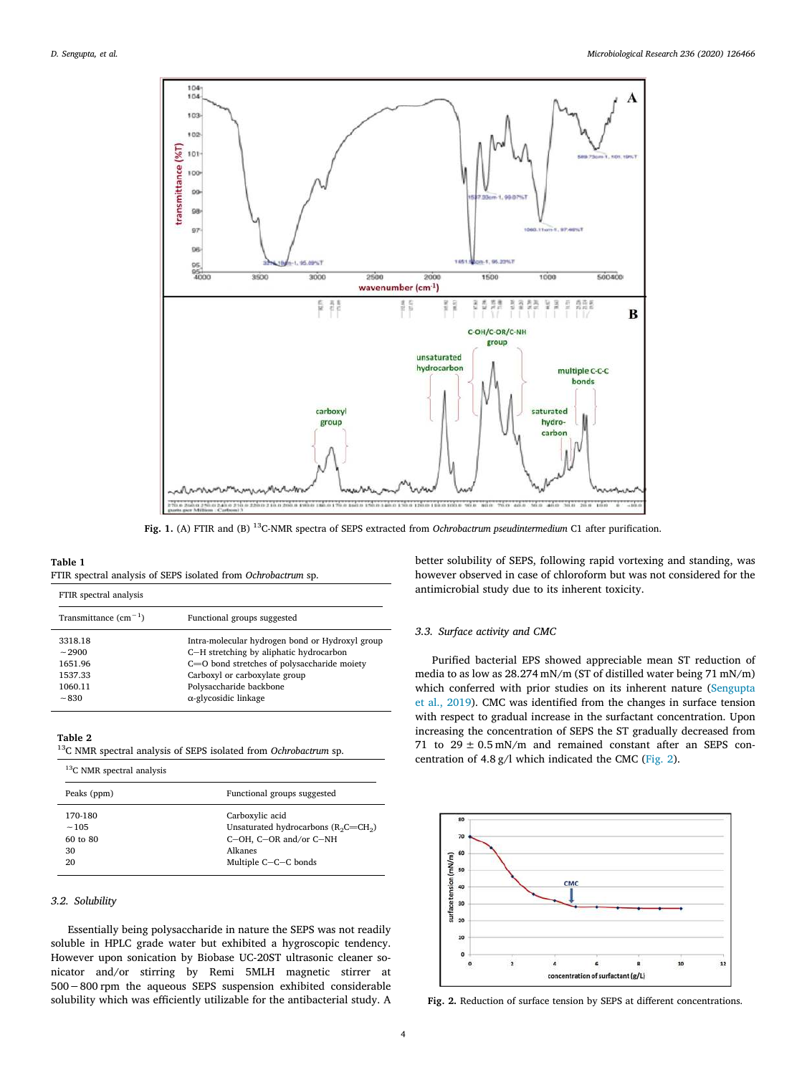<span id="page-3-0"></span>

**Fig. 1.** (A) FTIR and (B) <sup>13</sup>C-NMR spectra of SEPS extracted from *Ochrobactrum pseudintermedium* C1 after purification.

#### <span id="page-3-1"></span>**Table 1**

FTIR spectral analysis

|  |  |  |  |  | FTIR spectral analysis of SEPS isolated from Ochrobactrum sp. |  |
|--|--|--|--|--|---------------------------------------------------------------|--|
|--|--|--|--|--|---------------------------------------------------------------|--|

| 1.11                   |                                                 |  |  |  |
|------------------------|-------------------------------------------------|--|--|--|
| Transmittance $(cm-1)$ | Functional groups suggested                     |  |  |  |
| 3318.18                | Intra-molecular hydrogen bond or Hydroxyl group |  |  |  |
| $\sim$ 2900            | C-H stretching by aliphatic hydrocarbon         |  |  |  |
| 1651.96                | C=O bond stretches of polysaccharide moiety     |  |  |  |
| 1537.33                | Carboxyl or carboxylate group                   |  |  |  |
| 1060.11                | Polysaccharide backbone                         |  |  |  |
| $~1 - 830$             | $\alpha$ -glycosidic linkage                    |  |  |  |
|                        |                                                 |  |  |  |

# <span id="page-3-2"></span>**Table 2**

|  |  |  | <sup>13</sup> C NMR spectral analysis of SEPS isolated from Ochrobactrum sp. |  |
|--|--|--|------------------------------------------------------------------------------|--|
|  |  |  |                                                                              |  |

| $13$ C NMR spectral analysis |                                        |  |
|------------------------------|----------------------------------------|--|
| Peaks (ppm)                  | Functional groups suggested            |  |
| 170-180                      | Carboxylic acid                        |  |
| ~105                         | Unsaturated hydrocarbons $(R_2C=CH_2)$ |  |
| $60$ to $80$                 | C-OH, C-OR and/or C-NH                 |  |
| 30                           | Alkanes                                |  |
| 20                           | Multiple C-C-C bonds                   |  |

# *3.2. Solubility*

Essentially being polysaccharide in nature the SEPS was not readily soluble in HPLC grade water but exhibited a hygroscopic tendency. However upon sonication by Biobase UC-20ST ultrasonic cleaner sonicator and/or stirring by Remi 5MLH magnetic stirrer at 500−800 rpm the aqueous SEPS suspension exhibited considerable solubility which was efficiently utilizable for the antibacterial study. A

better solubility of SEPS, following rapid vortexing and standing, was however observed in case of chloroform but was not considered for the antimicrobial study due to its inherent toxicity.

# *3.3. Surface activity and CMC*

Purified bacterial EPS showed appreciable mean ST reduction of media to as low as 28.274 mN/m (ST of distilled water being 71 mN/m) which conferred with prior studies on its inherent nature [\(Sengupta](#page-8-3) [et al., 2019\)](#page-8-3). CMC was identified from the changes in surface tension with respect to gradual increase in the surfactant concentration. Upon increasing the concentration of SEPS the ST gradually decreased from 71 to  $29 \pm 0.5$  mN/m and remained constant after an SEPS concentration of 4.8 g/l which indicated the CMC([Fig. 2](#page-3-3)).

<span id="page-3-3"></span>![](_page_3_Figure_15.jpeg)

**Fig. 2.** Reduction of surface tension by SEPS at different concentrations.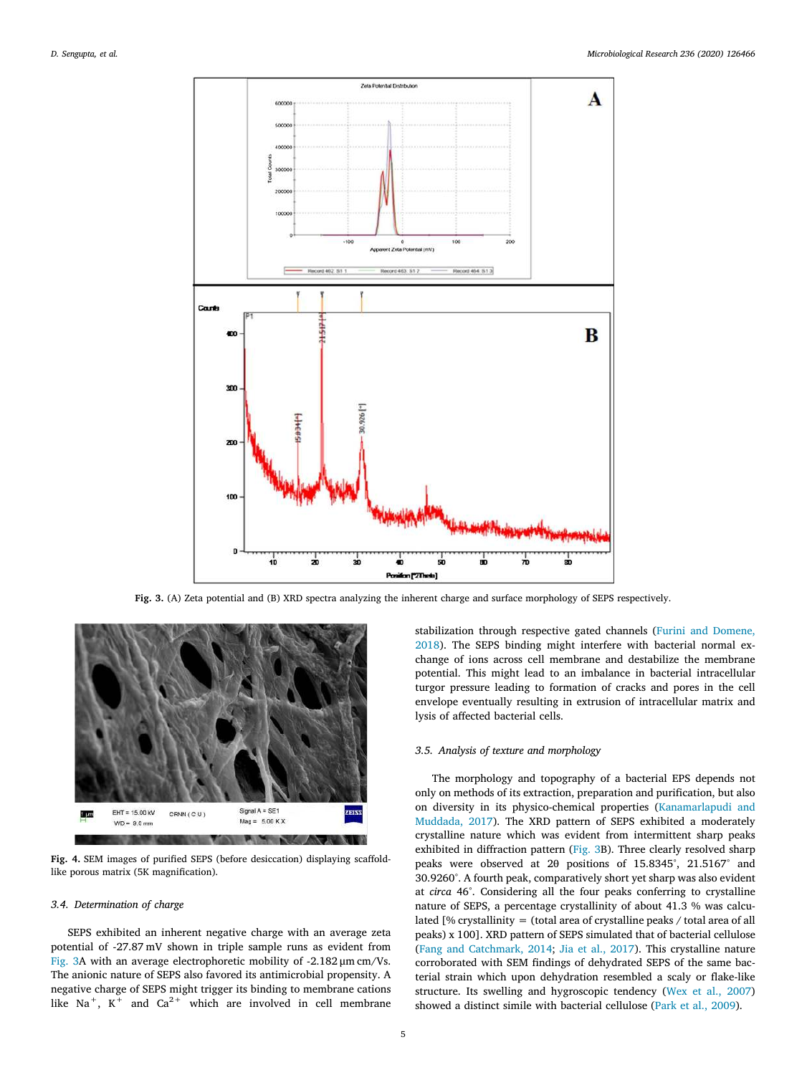<span id="page-4-0"></span>![](_page_4_Figure_2.jpeg)

**Fig. 3.** (A) Zeta potential and (B) XRD spectra analyzing the inherent charge and surface morphology of SEPS respectively.

<span id="page-4-1"></span>![](_page_4_Figure_4.jpeg)

**Fig. 4.** SEM images of purified SEPS (before desiccation) displaying scaffoldlike porous matrix (5K magnification).

# *3.4. Determination of charge*

SEPS exhibited an inherent negative charge with an average zeta potential of -27.87 mV shown in triple sample runs as evident from [Fig. 3](#page-4-0)A with an average electrophoretic mobility of -2.182 μm cm/Vs. The anionic nature of SEPS also favored its antimicrobial propensity. A negative charge of SEPS might trigger its binding to membrane cations like Na<sup>+</sup>, K<sup>+</sup> and Ca<sup>2+</sup> which are involved in cell membrane stabilization through respective gated channels([Furini and Domene,](#page-7-23) [2018\)](#page-7-23). The SEPS binding might interfere with bacterial normal exchange of ions across cell membrane and destabilize the membrane potential. This might lead to an imbalance in bacterial intracellular turgor pressure leading to formation of cracks and pores in the cell envelope eventually resulting in extrusion of intracellular matrix and lysis of affected bacterial cells.

#### *3.5. Analysis of texture and morphology*

The morphology and topography of a bacterial EPS depends not only on methods of its extraction, preparation and purification, but also on diversity in its physico-chemical properties [\(Kanamarlapudi and](#page-7-24) [Muddada, 2017\)](#page-7-24). The XRD pattern of SEPS exhibited a moderately crystalline nature which was evident from intermittent sharp peaks exhibited in diffraction pattern [\(Fig. 3B](#page-4-0)). Three clearly resolved sharp peaks were observed at 2θ positions of 15.8345°, 21.5167° and 30.9260°. A fourth peak, comparatively short yet sharp was also evident at *circa* 46°. Considering all the four peaks conferring to crystalline nature of SEPS, a percentage crystallinity of about 41.3 % was calculated [% crystallinity = (total area of crystalline peaks / total area of all peaks) x 100]. XRD pattern of SEPS simulated that of bacterial cellulose ([Fang and Catchmark, 2014;](#page-7-25) [Jia et al., 2017\)](#page-7-26). This crystalline nature corroborated with SEM findings of dehydrated SEPS of the same bacterial strain which upon dehydration resembled a scaly or flake-like structure. Its swelling and hygroscopic tendency([Wex et al., 2007\)](#page-8-30) showed a distinct simile with bacterial cellulose([Park et al., 2009](#page-8-31)).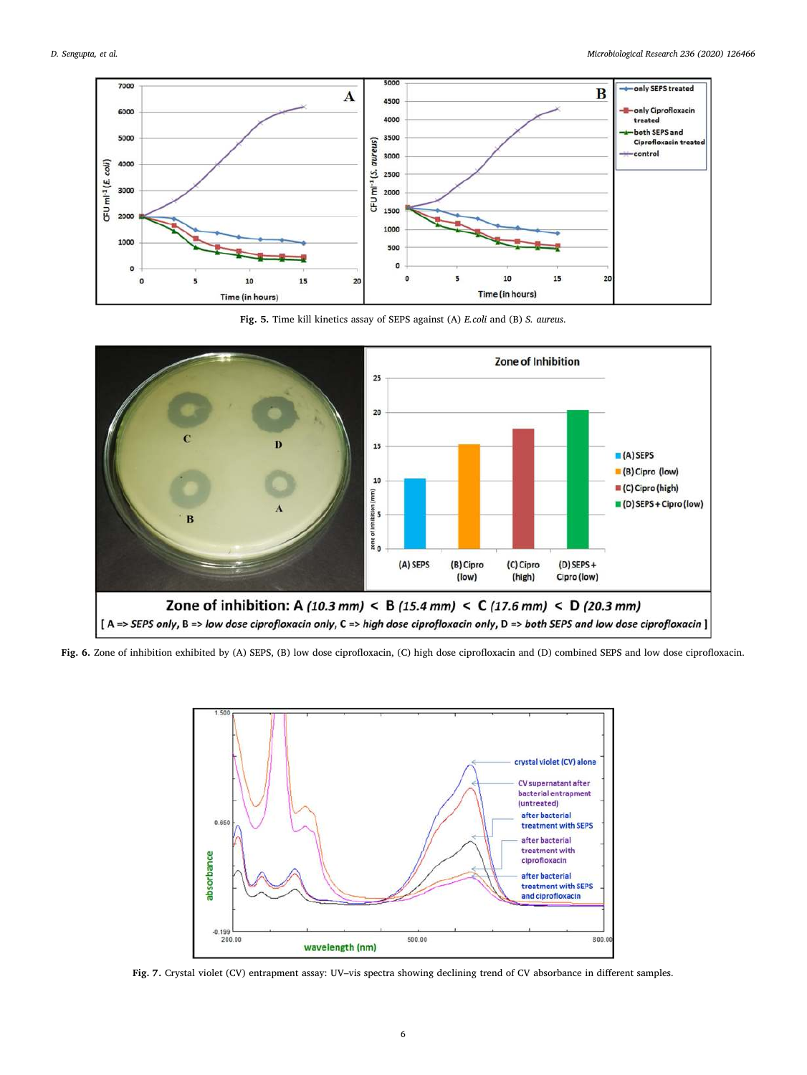<span id="page-5-0"></span>![](_page_5_Figure_2.jpeg)

**Fig. 5.** Time kill kinetics assay of SEPS against (A) *E.coli* and (B) *S. aureus*.

<span id="page-5-1"></span>![](_page_5_Figure_4.jpeg)

<span id="page-5-2"></span>**Fig. 6.** Zone of inhibition exhibited by (A) SEPS, (B) low dose ciprofloxacin, (C) high dose ciprofloxacin and (D) combined SEPS and low dose ciprofloxacin.

![](_page_5_Figure_6.jpeg)

**Fig. 7.** Crystal violet (CV) entrapment assay: UV–vis spectra showing declining trend of CV absorbance in different samples.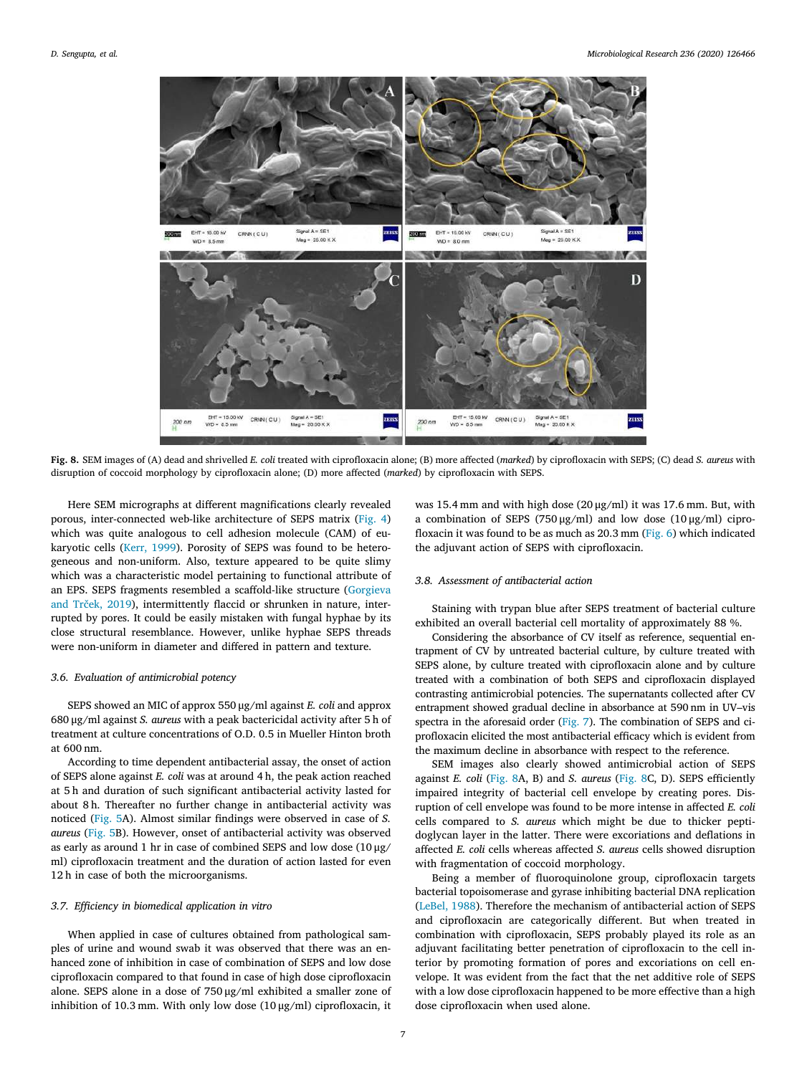<span id="page-6-0"></span>![](_page_6_Figure_2.jpeg)

**Fig. 8.** SEM images of (A) dead and shrivelled *E. coli* treated with ciprofloxacin alone; (B) more affected (*marked*) by ciprofloxacin with SEPS; (C) dead *S. aureus* with disruption of coccoid morphology by ciprofloxacin alone; (D) more affected (*marked*) by ciprofloxacin with SEPS.

Here SEM micrographs at different magnifications clearly revealed porous, inter-connected web-like architecture of SEPS matrix([Fig. 4\)](#page-4-1) which was quite analogous to cell adhesion molecule (CAM) of eukaryotic cells [\(Kerr, 1999\)](#page-7-27). Porosity of SEPS was found to be heterogeneous and non-uniform. Also, texture appeared to be quite slimy which was a characteristic model pertaining to functional attribute of an EPS. SEPS fragments resembled a scaffold-like structure([Gorgieva](#page-7-28) [and Trček, 2019](#page-7-28)), intermittently flaccid or shrunken in nature, interrupted by pores. It could be easily mistaken with fungal hyphae by its close structural resemblance. However, unlike hyphae SEPS threads were non-uniform in diameter and differed in pattern and texture.

# *3.6. Evaluation of antimicrobial potency*

SEPS showed an MIC of approx 550 μg/ml against *E. coli* and approx 680 μg/ml against *S. aureus* with a peak bactericidal activity after 5 h of treatment at culture concentrations of O.D. 0.5 in Mueller Hinton broth at 600 nm.

According to time dependent antibacterial assay, the onset of action of SEPS alone against *E. coli* was at around 4 h, the peak action reached at 5 h and duration of such significant antibacterial activity lasted for about 8 h. Thereafter no further change in antibacterial activity was noticed([Fig. 5](#page-5-0)A). Almost similar findings were observed in case of *S. aureus* [\(Fig. 5](#page-5-0)B). However, onset of antibacterial activity was observed as early as around 1 hr in case of combined SEPS and low dose (10  $\mu\text{g}/$ ml) ciprofloxacin treatment and the duration of action lasted for even 12 h in case of both the microorganisms.

# *3.7. Efficiency in biomedical application in vitro*

When applied in case of cultures obtained from pathological samples of urine and wound swab it was observed that there was an enhanced zone of inhibition in case of combination of SEPS and low dose ciprofloxacin compared to that found in case of high dose ciprofloxacin alone. SEPS alone in a dose of 750 μg/ml exhibited a smaller zone of inhibition of 10.3 mm. With only low dose (10 μg/ml) ciprofloxacin, it

was 15.4 mm and with high dose (20 μg/ml) it was 17.6 mm. But, with a combination of SEPS (750 μg/ml) and low dose (10 μg/ml) ciprofloxacin it was found to be as much as 20.3 mm([Fig. 6](#page-5-1)) which indicated the adjuvant action of SEPS with ciprofloxacin.

# *3.8. Assessment of antibacterial action*

Staining with trypan blue after SEPS treatment of bacterial culture exhibited an overall bacterial cell mortality of approximately 88 %.

Considering the absorbance of CV itself as reference, sequential entrapment of CV by untreated bacterial culture, by culture treated with SEPS alone, by culture treated with ciprofloxacin alone and by culture treated with a combination of both SEPS and ciprofloxacin displayed contrasting antimicrobial potencies. The supernatants collected after CV entrapment showed gradual decline in absorbance at 590 nm in UV–vis spectra in the aforesaid order [\(Fig. 7\)](#page-5-2). The combination of SEPS and ciprofloxacin elicited the most antibacterial efficacy which is evident from the maximum decline in absorbance with respect to the reference.

SEM images also clearly showed antimicrobial action of SEPS against *E. coli* [\(Fig. 8A](#page-6-0), B) and *S. aureus* [\(Fig. 8C](#page-6-0), D). SEPS efficiently impaired integrity of bacterial cell envelope by creating pores. Disruption of cell envelope was found to be more intense in affected *E. coli* cells compared to *S. aureus* which might be due to thicker peptidoglycan layer in the latter. There were excoriations and deflations in affected *E. coli* cells whereas affected *S. aureus* cells showed disruption with fragmentation of coccoid morphology.

Being a member of fluoroquinolone group, ciprofloxacin targets bacterial topoisomerase and gyrase inhibiting bacterial DNA replication ([LeBel, 1988](#page-7-29)). Therefore the mechanism of antibacterial action of SEPS and ciprofloxacin are categorically different. But when treated in combination with ciprofloxacin, SEPS probably played its role as an adjuvant facilitating better penetration of ciprofloxacin to the cell interior by promoting formation of pores and excoriations on cell envelope. It was evident from the fact that the net additive role of SEPS with a low dose ciprofloxacin happened to be more effective than a high dose ciprofloxacin when used alone.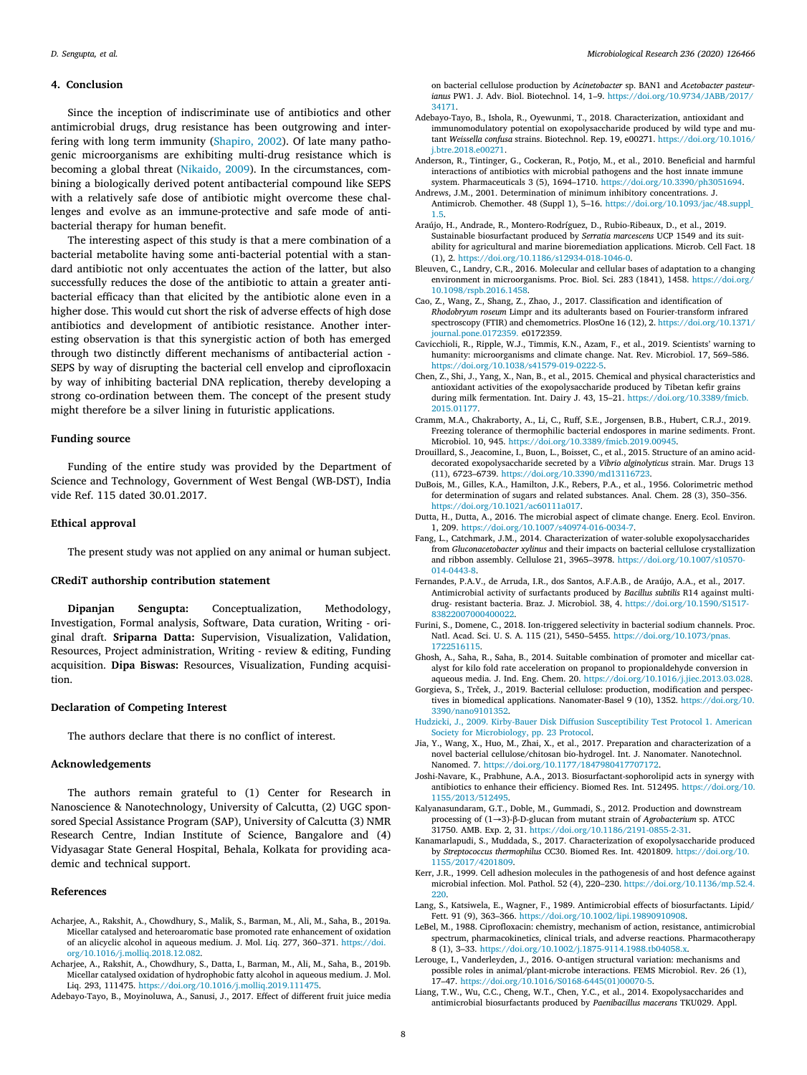#### **4. Conclusion**

Since the inception of indiscriminate use of antibiotics and other antimicrobial drugs, drug resistance has been outgrowing and interfering with long term immunity([Shapiro, 2002](#page-8-32)). Of late many pathogenic microorganisms are exhibiting multi-drug resistance which is becoming a global threat [\(Nikaido, 2009](#page-8-33)). In the circumstances, combining a biologically derived potent antibacterial compound like SEPS with a relatively safe dose of antibiotic might overcome these challenges and evolve as an immune-protective and safe mode of antibacterial therapy for human benefit.

The interesting aspect of this study is that a mere combination of a bacterial metabolite having some anti-bacterial potential with a standard antibiotic not only accentuates the action of the latter, but also successfully reduces the dose of the antibiotic to attain a greater antibacterial efficacy than that elicited by the antibiotic alone even in a higher dose. This would cut short the risk of adverse effects of high dose antibiotics and development of antibiotic resistance. Another interesting observation is that this synergistic action of both has emerged through two distinctly different mechanisms of antibacterial action - SEPS by way of disrupting the bacterial cell envelop and ciprofloxacin by way of inhibiting bacterial DNA replication, thereby developing a strong co-ordination between them. The concept of the present study might therefore be a silver lining in futuristic applications.

#### **Funding source**

Funding of the entire study was provided by the Department of Science and Technology, Government of West Bengal (WB-DST), India vide Ref. 115 dated 30.01.2017.

# **Ethical approval**

The present study was not applied on any animal or human subject.

# **CRediT authorship contribution statement**

**Dipanjan Sengupta:** Conceptualization, Methodology, Investigation, Formal analysis, Software, Data curation, Writing - original draft. **Sriparna Datta:** Supervision, Visualization, Validation, Resources, Project administration, Writing - review & editing, Funding acquisition. **Dipa Biswas:** Resources, Visualization, Funding acquisition.

# **Declaration of Competing Interest**

The authors declare that there is no conflict of interest.

#### **Acknowledgements**

The authors remain grateful to (1) Center for Research in Nanoscience & Nanotechnology, University of Calcutta, (2) UGC sponsored Special Assistance Program (SAP), University of Calcutta (3) NMR Research Centre, Indian Institute of Science, Bangalore and (4) Vidyasagar State General Hospital, Behala, Kolkata for providing academic and technical support.

# **References**

- <span id="page-7-6"></span>Acharjee, A., Rakshit, A., Chowdhury, S., Malik, S., Barman, M., Ali, M., Saha, B., 2019a. Micellar catalysed and heteroaromatic base promoted rate enhancement of oxidation of an alicyclic alcohol in aqueous medium. J. Mol. Liq. 277, 360–371. [https://doi.](https://doi.org/10.1016/j.molliq.2018.12.082) [org/10.1016/j.molliq.2018.12.082.](https://doi.org/10.1016/j.molliq.2018.12.082)
- <span id="page-7-7"></span>Acharjee, A., Rakshit, A., Chowdhury, S., Datta, I., Barman, M., Ali, M., Saha, B., 2019b. Micellar catalysed oxidation of hydrophobic fatty alcohol in aqueous medium. J. Mol. Liq. 293, 111475. <https://doi.org/10.1016/j.molliq.2019.111475>.

<span id="page-7-21"></span>Adebayo-Tayo, B., Moyinoluwa, A., Sanusi, J., 2017. Effect of different fruit juice media

on bacterial cellulose production by *Acinetobacter* sp. BAN1 and *Acetobacter pasteurianus* PW1. J. Adv. Biol. Biotechnol. 14, 1–9. [https://doi.org/10.9734/JABB/2017/](https://doi.org/10.9734/JABB/2017/34171) [34171.](https://doi.org/10.9734/JABB/2017/34171)

- <span id="page-7-13"></span>Adebayo-Tayo, B., Ishola, R., Oyewunmi, T., 2018. Characterization, antioxidant and immunomodulatory potential on exopolysaccharide produced by wild type and mutant *Weissella confusa* strains. Biotechnol. Rep. 19, e00271. [https://doi.org/10.1016/](https://doi.org/10.1016/j.btre.2018.e00271) [j.btre.2018.e00271.](https://doi.org/10.1016/j.btre.2018.e00271)
- <span id="page-7-12"></span>Anderson, R., Tintinger, G., Cockeran, R., Potjo, M., et al., 2010. Beneficial and harmful interactions of antibiotics with microbial pathogens and the host innate immune system. Pharmaceuticals 3 (5), 1694–1710. [https://doi.org/10.3390/ph3051694.](https://doi.org/10.3390/ph3051694)
- <span id="page-7-16"></span>Andrews, J.M., 2001. Determination of minimum inhibitory concentrations. J. Antimicrob. Chemother. 48 (Suppl 1), 5–16. [https://doi.org/10.1093/jac/48.suppl\\_](https://doi.org/10.1093/jac/48.suppl_1.5) [1.5.](https://doi.org/10.1093/jac/48.suppl_1.5)
- <span id="page-7-11"></span>Araújo, H., Andrade, R., Montero-Rodríguez, D., Rubio-Ribeaux, D., et al., 2019. Sustainable biosurfactant produced by *Serratia marcescens* UCP 1549 and its suitability for agricultural and marine bioremediation applications. Microb. Cell Fact. 18 (1), 2. <https://doi.org/10.1186/s12934-018-1046-0>.
- <span id="page-7-3"></span>Bleuven, C., Landry, C.R., 2016. Molecular and cellular bases of adaptation to a changing environment in microorganisms. Proc. Biol. Sci. 283 (1841), 1458. [https://doi.org/](https://doi.org/10.1098/rspb.2016.1458) [10.1098/rspb.2016.1458](https://doi.org/10.1098/rspb.2016.1458).
- <span id="page-7-18"></span>Cao, Z., Wang, Z., Shang, Z., Zhao, J., 2017. Classification and identification of *Rhodobryum roseum* Limpr and its adulterants based on Fourier-transform infrared spectroscopy (FTIR) and chemometrics. PlosOne 16 (12), 2. [https://doi.org/10.1371/](https://doi.org/10.1371/journal.pone.0172359) [journal.pone.0172359.](https://doi.org/10.1371/journal.pone.0172359) e0172359.
- <span id="page-7-0"></span>Cavicchioli, R., Ripple, W.J., Timmis, K.N., Azam, F., et al., 2019. Scientists' warning to humanity: microorganisms and climate change. Nat. Rev. Microbiol. 17, 569–586. [https://doi.org/10.1038/s41579-019-0222-5.](https://doi.org/10.1038/s41579-019-0222-5)
- <span id="page-7-19"></span>Chen, Z., Shi, J., Yang, X., Nan, B., et al., 2015. Chemical and physical characteristics and antioxidant activities of the exopolysaccharide produced by Tibetan kefir grains during milk fermentation. Int. Dairy J. 43, 15–21. [https://doi.org/10.3389/fmicb.](https://doi.org/10.3389/fmicb.2015.01177) [2015.01177.](https://doi.org/10.3389/fmicb.2015.01177)
- <span id="page-7-1"></span>Cramm, M.A., Chakraborty, A., Li, C., Ruff, S.E., Jorgensen, B.B., Hubert, C.R.J., 2019. Freezing tolerance of thermophilic bacterial endospores in marine sediments. Front. Microbiol. 10, 945. <https://doi.org/10.3389/fmicb.2019.00945>.
- <span id="page-7-20"></span>Drouillard, S., Jeacomine, I., Buon, L., Boisset, C., et al., 2015. Structure of an amino aciddecorated exopolysaccharide secreted by a *Vibrio alginolyticus* strain. Mar. Drugs 13 (11), 6723–6739. [https://doi.org/10.3390/md13116723.](https://doi.org/10.3390/md13116723)
- <span id="page-7-15"></span>DuBois, M., Gilles, K.A., Hamilton, J.K., Rebers, P.A., et al., 1956. Colorimetric method for determination of sugars and related substances. Anal. Chem. 28 (3), 350–356. [https://doi.org/10.1021/ac60111a017.](https://doi.org/10.1021/ac60111a017)
- <span id="page-7-2"></span>Dutta, H., Dutta, A., 2016. The microbial aspect of climate change. Energ. Ecol. Environ. 1, 209. [https://doi.org/10.1007/s40974-016-0034-7.](https://doi.org/10.1007/s40974-016-0034-7)
- <span id="page-7-25"></span>Fang, L., Catchmark, J.M., 2014. Characterization of water-soluble exopolysaccharides from *Gluconacetobacter xylinus* and their impacts on bacterial cellulose crystallization and ribbon assembly. Cellulose 21, 3965–3978. [https://doi.org/10.1007/s10570-](https://doi.org/10.1007/s10570-014-0443-8) [014-0443-8](https://doi.org/10.1007/s10570-014-0443-8).
- <span id="page-7-9"></span>Fernandes, P.A.V., de Arruda, I.R., dos Santos, A.F.A.B., de Araújo, A.A., et al., 2017. Antimicrobial activity of surfactants produced by *Bacillus subtilis* R14 against multidrug- resistant bacteria. Braz. J. Microbiol. 38, 4. [https://doi.org/10.1590/S1517-](https://doi.org/10.1590/S1517-83822007000400022) [83822007000400022.](https://doi.org/10.1590/S1517-83822007000400022)
- <span id="page-7-23"></span>Furini, S., Domene, C., 2018. Ion-triggered selectivity in bacterial sodium channels. Proc. Natl. Acad. Sci. U. S. A. 115 (21), 5450–5455. [https://doi.org/10.1073/pnas.](https://doi.org/10.1073/pnas.1722516115) [1722516115](https://doi.org/10.1073/pnas.1722516115).
- <span id="page-7-5"></span>Ghosh, A., Saha, R., Saha, B., 2014. Suitable combination of promoter and micellar catalyst for kilo fold rate acceleration on propanol to propionaldehyde conversion in aqueous media. J. Ind. Eng. Chem. 20. <https://doi.org/10.1016/j.jiec.2013.03.028>.
- <span id="page-7-28"></span>Gorgieva, S., Trček, J., 2019. Bacterial cellulose: production, modification and perspectives in biomedical applications. Nanomater-Basel 9 (10), 1352. [https://doi.org/10.](https://doi.org/10.3390/nano9101352) [3390/nano9101352](https://doi.org/10.3390/nano9101352).
- <span id="page-7-17"></span>[Hudzicki, J., 2009. Kirby-Bauer Disk Diffusion Susceptibility Test Protocol](http://refhub.elsevier.com/S0944-5013(20)30071-9/sbref0105) 1. American [Society for Microbiology, pp. 23 Protocol.](http://refhub.elsevier.com/S0944-5013(20)30071-9/sbref0105)
- <span id="page-7-26"></span>Jia, Y., Wang, X., Huo, M., Zhai, X., et al., 2017. Preparation and characterization of a novel bacterial cellulose/chitosan bio-hydrogel. Int. J. Nanomater. Nanotechnol. Nanomed. 7. <https://doi.org/10.1177/1847980417707172>.
- <span id="page-7-14"></span>Joshi-Navare, K., Prabhune, A.A., 2013. Biosurfactant-sophorolipid acts in synergy with antibiotics to enhance their efficiency. Biomed Res. Int. 512495. [https://doi.org/10.](https://doi.org/10.1155/2013/512495) [1155/2013/512495](https://doi.org/10.1155/2013/512495).
- <span id="page-7-22"></span>Kalyanasundaram, G.T., Doble, M., Gummadi, S., 2012. Production and downstream processing of (1→3)‐β‐D‐glucan from mutant strain of *Agrobacterium* sp. ATCC 31750. AMB. Exp. 2, 31. <https://doi.org/10.1186/2191-0855-2-31>.
- <span id="page-7-24"></span>Kanamarlapudi, S., Muddada, S., 2017. Characterization of exopolysaccharide produced by *Streptococcus thermophilus* CC30. Biomed Res. Int. 4201809. [https://doi.org/10.](https://doi.org/10.1155/2017/4201809) [1155/2017/4201809.](https://doi.org/10.1155/2017/4201809)
- <span id="page-7-27"></span>Kerr, J.R., 1999. Cell adhesion molecules in the pathogenesis of and host defence against microbial infection. Mol. Pathol. 52 (4), 220–230. [https://doi.org/10.1136/mp.52.4.](https://doi.org/10.1136/mp.52.4.220) [220](https://doi.org/10.1136/mp.52.4.220).
- <span id="page-7-10"></span>Lang, S., Katsiwela, E., Wagner, F., 1989. Antimicrobial effects of biosurfactants. Lipid/ Fett. 91 (9), 363–366. [https://doi.org/10.1002/lipi.19890910908.](https://doi.org/10.1002/lipi.19890910908)
- <span id="page-7-29"></span>LeBel, M., 1988. Ciprofloxacin: chemistry, mechanism of action, resistance, antimicrobial spectrum, pharmacokinetics, clinical trials, and adverse reactions. Pharmacotherapy 8 (1), 3–33. <https://doi.org/10.1002/j.1875-9114.1988.tb04058.x>.
- <span id="page-7-4"></span>Lerouge, I., Vanderleyden, J., 2016. O-antigen structural variation: mechanisms and possible roles in animal/plant-microbe interactions. FEMS Microbiol. Rev. 26 (1), 17–47. [https://doi.org/10.1016/S0168-6445\(01\)00070-5](https://doi.org/10.1016/S0168-6445(01)00070-5).
- <span id="page-7-8"></span>Liang, T.W., Wu, C.C., Cheng, W.T., Chen, Y.C., et al., 2014. Exopolysaccharides and antimicrobial biosurfactants produced by *Paenibacillus macerans* TKU029. Appl.